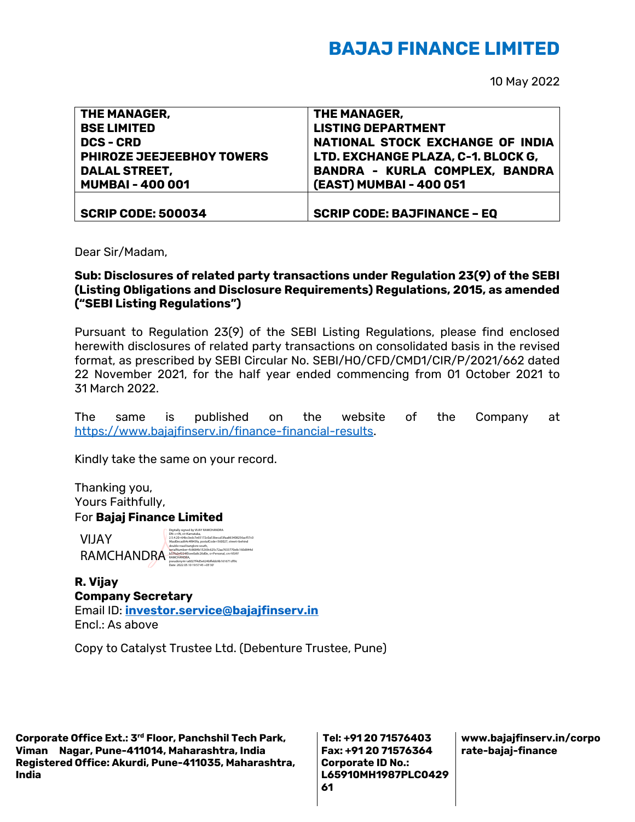## **BAJAJ FINANCE LIMITED**

10 May 2022

| THE MANAGER,              | THE MANAGER,                          |
|---------------------------|---------------------------------------|
| <b>BSE LIMITED</b>        | <b>LISTING DEPARTMENT</b>             |
| <b>DCS-CRD</b>            | NATIONAL STOCK EXCHANGE OF INDIA      |
| PHIROZE JEEJEEBHOY TOWERS | LTD. EXCHANGE PLAZA, C-1. BLOCK G,    |
| <b>DALAL STREET,</b>      | <b>BANDRA - KURLA COMPLEX, BANDRA</b> |
| <b>MUMBAI-400001</b>      | (EAST) MUMBAI - 400 051               |
|                           |                                       |
| <b>SCRIP CODE: 500034</b> | <b>SCRIP CODE: BAJFINANCE - EQ</b>    |

Dear Sir/Madam,

## **Sub: Disclosures of related party transactions under Regulation 23(9) of the SEBI (Listing Obligations and Disclosure Requirements) Regulations, 2015, as amended ("SEBI Listing Regulations")**

Pursuant to Regulation 23(9) of the SEBI Listing Regulations, please find enclosed herewith disclosures of related party transactions on consolidated basis in the revised format, as prescribed by SEBI Circular No. SEBI/HO/CFD/CMD1/CIR/P/2021/662 dated 22 November 2021, for the half year ended commencing from 01 October 2021 to 31 March 2022.

The same is published on the website of the Company at [https://www.bajajfinserv.in/finance-financial-results.](https://www.bajajfinserv.in/finance-financial-results)

Kindly take the same on your record.

Thanking you, Yours Faithfully, For **Bajaj Finance Limited**

VIJAY

RAMCHANDRA<br>Raman Condense Condense and Condense Condense Condense Condense Condense Condense Condense Condense Condense<br>Condense Condense Condense Condense Condense Condense Condense Condense Condense Condense Condense Con Digitally signed by VIJAY RAMCHANDRA DN: c=IN, st=Karnataka, 2.5.4.20=64bc3edc7e65172c0a53beca53faa863408256acf57c0 96ad0ecad64c4f843fa, postalCode=560027, street=behind double road banglore south, pseudonym=a6027f4d5e624bffebb9b161671cff9c Date: 2022.05.10 19:57:45 +05'30'

**R. Vijay Company Secretary** Email ID: **[investor.service@bajajfinserv.in](mailto:investor.service@bajajfinserv.in)** Encl.: As above

Copy to Catalyst Trustee Ltd. (Debenture Trustee, Pune)

**Corporate Office Ext.: 3rd Floor, Panchshil Tech Park, Viman Nagar, Pune-411014, Maharashtra, India Registered Office: Akurdi, Pune-411035, Maharashtra, India** 

**Tel: +91 20 71576403 Fax: +91 20 71576364 Corporate ID No.: L65910MH1987PLC0429 61**

**www.bajajfinserv.in/corpo rate-bajaj-finance**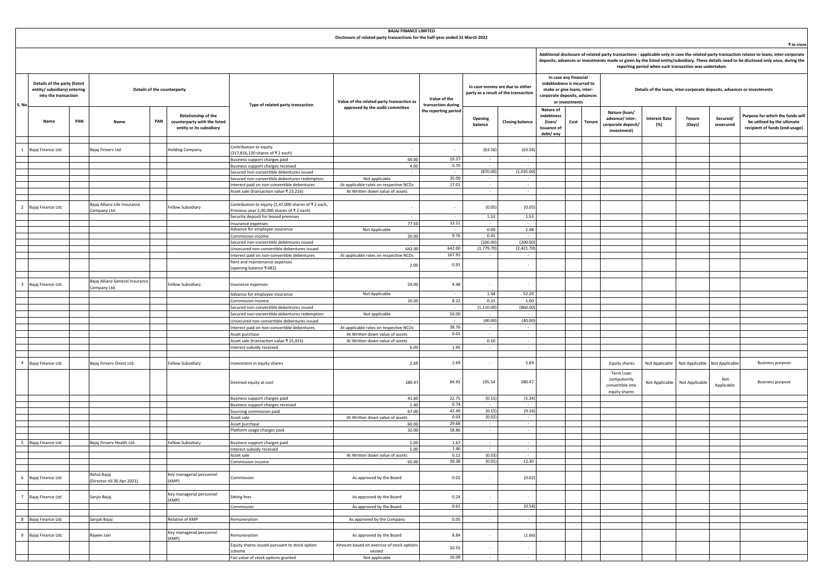|                         | <b>BAJAJ FINANCE LIMITED</b><br>Disclosure of related party transactions for the half-year ended 31 March 2022 |     |                                                 |     |                                                                                 |                                                                                            |                                                  |                                    |                                                                          |                          |                                                                                                                    |                |        |                                                                         |                             |                                                        |                       |                                                                                                                                                                                                                                                                                                          |  |
|-------------------------|----------------------------------------------------------------------------------------------------------------|-----|-------------------------------------------------|-----|---------------------------------------------------------------------------------|--------------------------------------------------------------------------------------------|--------------------------------------------------|------------------------------------|--------------------------------------------------------------------------|--------------------------|--------------------------------------------------------------------------------------------------------------------|----------------|--------|-------------------------------------------------------------------------|-----------------------------|--------------------------------------------------------|-----------------------|----------------------------------------------------------------------------------------------------------------------------------------------------------------------------------------------------------------------------------------------------------------------------------------------------------|--|
|                         |                                                                                                                |     |                                                 |     |                                                                                 |                                                                                            |                                                  |                                    |                                                                          |                          |                                                                                                                    |                |        |                                                                         |                             | reporting period when such transaction was undertaken. |                       | ₹ in crore<br>Additional disclosure of related party transactions - applicable only in case the related party transaction relates to loans, inter-corporate<br>deposits, advances or investments made or given by the listed entity/subsidiary. These details need to be disclosed only once, during the |  |
| S. No                   | Details of the party (listed<br>entity/ subsidiary) entering<br>into the transaction                           |     |                                                 |     | Details of the counterparty                                                     | Type of related party transaction                                                          | Value of the related party transaction as        | Value of the<br>transaction during | In case monies are due to either<br>party as a result of the transaction |                          | In case any financial<br>indebtedness is incurred to<br>make or give loans, inter-<br>corporate deposits, advances | or investments |        | Details of the loans, inter-corporate deposits, advances or investments |                             |                                                        |                       |                                                                                                                                                                                                                                                                                                          |  |
|                         | Name                                                                                                           | PAN | Name                                            | PAN | Relationship of the<br>counterparty with the listed<br>entity or its subsidiary |                                                                                            | approved by the audit committee                  | the reporting period               | Opening<br>balance                                                       | <b>Closing balance</b>   | Nature of<br>indebtness<br>(loan/<br>issuance of<br>debt/ any                                                      | Cost           | Tenure | Nature (loan/<br>advance/inter-<br>corporate deposit/<br>investment)    | <b>Interest Rate</b><br>(%) | <b>Tenure</b><br>(Days)                                | Secured/<br>unsecured | Purpose for which the funds will<br>be utilised by the ultimate<br>recipient of funds (end-usage)                                                                                                                                                                                                        |  |
|                         |                                                                                                                |     |                                                 |     |                                                                                 | Contribution to equity                                                                     |                                                  |                                    |                                                                          |                          |                                                                                                                    |                |        |                                                                         |                             |                                                        |                       |                                                                                                                                                                                                                                                                                                          |  |
| <sup>1</sup>            | Bajaj Finance Ltd.                                                                                             |     | Bajaj Finserv Ltd.                              |     | Iolding Company                                                                 | 317,816,130 shares of ₹2 each)                                                             | $\sim$                                           |                                    | (63.56)                                                                  | (63.56)                  |                                                                                                                    |                |        |                                                                         |                             |                                                        |                       |                                                                                                                                                                                                                                                                                                          |  |
|                         |                                                                                                                |     |                                                 |     |                                                                                 | Business support charges paid                                                              | 60.00                                            | 19.37                              |                                                                          |                          |                                                                                                                    |                |        |                                                                         |                             |                                                        |                       |                                                                                                                                                                                                                                                                                                          |  |
|                         |                                                                                                                |     |                                                 |     |                                                                                 | Business support charges received<br>Secured non-convertible debentures issued             | 4.00                                             | 0.70                               | $\sim$<br>(870.00)                                                       | $\sim$<br>(1,035.00)     |                                                                                                                    |                |        |                                                                         |                             |                                                        |                       |                                                                                                                                                                                                                                                                                                          |  |
|                         |                                                                                                                |     |                                                 |     |                                                                                 | Secured non-convertible debentures redemption                                              | Not applicable                                   | 35.00                              |                                                                          | $\sim$                   |                                                                                                                    |                |        |                                                                         |                             |                                                        |                       |                                                                                                                                                                                                                                                                                                          |  |
|                         |                                                                                                                |     |                                                 |     |                                                                                 | Interest paid on non-convertible debentures                                                | At applicable rates on respective NCDs           | 17.01                              | $\sim$                                                                   | $\sim$                   |                                                                                                                    |                |        |                                                                         |                             |                                                        |                       |                                                                                                                                                                                                                                                                                                          |  |
|                         |                                                                                                                |     |                                                 |     |                                                                                 | Asset sale (transaction value ₹23,216)                                                     | At Written down value of assets                  |                                    | $\sim$                                                                   | $\sim$                   |                                                                                                                    |                |        |                                                                         |                             |                                                        |                       |                                                                                                                                                                                                                                                                                                          |  |
|                         |                                                                                                                |     | Bajaj Allianz Life Insurance                    |     |                                                                                 | Contribution to equity (2,47,000 shares of ₹2 each,                                        |                                                  |                                    |                                                                          |                          |                                                                                                                    |                |        |                                                                         |                             |                                                        |                       |                                                                                                                                                                                                                                                                                                          |  |
| $\overline{2}$          | Bajaj Finance Ltd.                                                                                             |     | Company Ltd.                                    |     | Fellow Subsidiary                                                               | Previous year 2,00,000 shares of ₹ 2 each)                                                 | $\sim$                                           |                                    | (0.05)                                                                   | (0.05)                   |                                                                                                                    |                |        |                                                                         |                             |                                                        |                       |                                                                                                                                                                                                                                                                                                          |  |
|                         |                                                                                                                |     |                                                 |     |                                                                                 | Security deposit for leased premises<br>Insurance expenses                                 | 77.50                                            | 33.51                              | 1.53                                                                     | 1.53                     |                                                                                                                    |                |        |                                                                         |                             |                                                        |                       |                                                                                                                                                                                                                                                                                                          |  |
|                         |                                                                                                                |     |                                                 |     |                                                                                 | Advance for employee insurance                                                             | Not Applicable                                   |                                    | 0.09                                                                     | 1.48                     |                                                                                                                    |                |        |                                                                         |                             |                                                        |                       |                                                                                                                                                                                                                                                                                                          |  |
|                         |                                                                                                                |     |                                                 |     |                                                                                 | Commission income                                                                          | 20.00                                            | 9.76                               | 0.41                                                                     | $\sim$                   |                                                                                                                    |                |        |                                                                         |                             |                                                        |                       |                                                                                                                                                                                                                                                                                                          |  |
|                         |                                                                                                                |     |                                                 |     |                                                                                 | Secured non-convertible debentures issued                                                  |                                                  | $\sim$                             | (200.00)                                                                 | (200.00)                 |                                                                                                                    |                |        |                                                                         |                             |                                                        |                       |                                                                                                                                                                                                                                                                                                          |  |
|                         |                                                                                                                |     |                                                 |     |                                                                                 | Unsecured non-convertible debentures issued<br>Interest paid on non-convertible debentures | 642.00<br>At applicable rates on respective NCDs | 642.00<br>167.91                   | (1,779.7)                                                                | (2,421.70)               |                                                                                                                    |                |        |                                                                         |                             |                                                        |                       |                                                                                                                                                                                                                                                                                                          |  |
|                         |                                                                                                                |     |                                                 |     |                                                                                 | Rent and maintenance expenses                                                              |                                                  |                                    |                                                                          |                          |                                                                                                                    |                |        |                                                                         |                             |                                                        |                       |                                                                                                                                                                                                                                                                                                          |  |
|                         |                                                                                                                |     |                                                 |     |                                                                                 | (opening balance ₹682)                                                                     | 2.00                                             | 0.91                               |                                                                          | $\cdot$                  |                                                                                                                    |                |        |                                                                         |                             |                                                        |                       |                                                                                                                                                                                                                                                                                                          |  |
|                         |                                                                                                                |     |                                                 |     |                                                                                 |                                                                                            |                                                  |                                    |                                                                          |                          |                                                                                                                    |                |        |                                                                         |                             |                                                        |                       |                                                                                                                                                                                                                                                                                                          |  |
| $\overline{\mathbf{3}}$ | Bajaj Finance Ltd.                                                                                             |     | Bajaj Allianz General Insurance<br>Company Ltd. |     | Fellow Subsidiary                                                               | Insurance expenses                                                                         | 59.00                                            | 4.48                               |                                                                          | $\sim$                   |                                                                                                                    |                |        |                                                                         |                             |                                                        |                       |                                                                                                                                                                                                                                                                                                          |  |
|                         |                                                                                                                |     |                                                 |     |                                                                                 | Advance for emplovee insurance                                                             | Not Applicable                                   |                                    | 1.44                                                                     | 52.29                    |                                                                                                                    |                |        |                                                                         |                             |                                                        |                       |                                                                                                                                                                                                                                                                                                          |  |
|                         |                                                                                                                |     |                                                 |     |                                                                                 | Commission income                                                                          | 20.00                                            | 8.22                               | 0.21                                                                     | 1.00                     |                                                                                                                    |                |        |                                                                         |                             |                                                        |                       |                                                                                                                                                                                                                                                                                                          |  |
|                         |                                                                                                                |     |                                                 |     |                                                                                 | Secured non-convertible debentures issued                                                  |                                                  | $\sim$                             | (1, 110.00)                                                              | (860.00)                 |                                                                                                                    |                |        |                                                                         |                             |                                                        |                       |                                                                                                                                                                                                                                                                                                          |  |
|                         |                                                                                                                |     |                                                 |     |                                                                                 | ecured non-convertible debentures redemption                                               | Not applicable                                   | 50.00                              |                                                                          | $\sim$<br>(40.00)        |                                                                                                                    |                |        |                                                                         |                             |                                                        |                       |                                                                                                                                                                                                                                                                                                          |  |
|                         |                                                                                                                |     |                                                 |     |                                                                                 | Unsecured non-convertible debentures issued<br>Interest paid on non-convertible debentures | At applicable rates on respective NCDs           | 38.76                              | (40.00)<br>$\sim$                                                        | $\sim$                   |                                                                                                                    |                |        |                                                                         |                             |                                                        |                       |                                                                                                                                                                                                                                                                                                          |  |
|                         |                                                                                                                |     |                                                 |     |                                                                                 | Asset purchase                                                                             | At Written down value of assets                  | 0.01                               | $\sim$                                                                   | $\sim$                   |                                                                                                                    |                |        |                                                                         |                             |                                                        |                       |                                                                                                                                                                                                                                                                                                          |  |
|                         |                                                                                                                |     |                                                 |     |                                                                                 | Asset sale (transaction value ₹15,415)                                                     | At Written down value of assets                  |                                    | 0.10                                                                     |                          |                                                                                                                    |                |        |                                                                         |                             |                                                        |                       |                                                                                                                                                                                                                                                                                                          |  |
|                         |                                                                                                                |     |                                                 |     |                                                                                 | Interest subsidy received                                                                  | 6.00                                             | 1.95                               | $\sim$                                                                   | $\sim$                   |                                                                                                                    |                |        |                                                                         |                             |                                                        |                       |                                                                                                                                                                                                                                                                                                          |  |
|                         |                                                                                                                |     |                                                 |     |                                                                                 |                                                                                            |                                                  |                                    |                                                                          |                          |                                                                                                                    |                |        |                                                                         |                             |                                                        |                       |                                                                                                                                                                                                                                                                                                          |  |
| $\overline{4}$          | Bajaj Finance Ltd.                                                                                             |     | Bajaj Finserv Direct Ltd.                       |     | Fellow Subsidiary                                                               | nvestment in equity shares                                                                 | 2.69                                             | 2.69                               |                                                                          | 2.69                     |                                                                                                                    |                |        | Equity shares                                                           | Not Applicable              | Not Applicable                                         | Not Applicable        | <b>Business purpose</b>                                                                                                                                                                                                                                                                                  |  |
|                         |                                                                                                                |     |                                                 |     |                                                                                 | Deemed equity at cost                                                                      | 280.47                                           | 84.93                              | 195.54                                                                   | 280.47                   |                                                                                                                    |                |        | Term Loan<br>compulsorily<br>convertible into<br>equity shares          | Not Applicable              | Not Applicable                                         | Not<br>Applicable     | <b>Business purpose</b>                                                                                                                                                                                                                                                                                  |  |
|                         |                                                                                                                |     |                                                 |     |                                                                                 | Business support charges paid                                                              | 41.60                                            | 22.75                              | (0.15)                                                                   | (5.34)                   |                                                                                                                    |                |        |                                                                         |                             |                                                        |                       |                                                                                                                                                                                                                                                                                                          |  |
|                         |                                                                                                                |     |                                                 |     |                                                                                 | usiness support charges received<br>ourcing commission paid                                | 1.40                                             | 0.74<br>42.49                      |                                                                          | (9.16)                   |                                                                                                                    |                |        |                                                                         |                             |                                                        |                       |                                                                                                                                                                                                                                                                                                          |  |
|                         |                                                                                                                |     |                                                 |     |                                                                                 | Asset sale                                                                                 | 67.00<br>At Written down value of assets         | 0.03                               | (0.15)<br>(0.02)                                                         | $\sim$                   |                                                                                                                    |                |        |                                                                         |                             |                                                        |                       |                                                                                                                                                                                                                                                                                                          |  |
|                         |                                                                                                                |     |                                                 |     |                                                                                 | Asset purchase                                                                             | 60.00                                            | 29.68                              | $\sim$                                                                   | $\sim$                   |                                                                                                                    |                |        |                                                                         |                             |                                                        |                       |                                                                                                                                                                                                                                                                                                          |  |
|                         |                                                                                                                |     |                                                 |     |                                                                                 | Platform usage charges paid                                                                | 32.00                                            | 18.86                              | $\sim$                                                                   | $\sim$                   |                                                                                                                    |                |        |                                                                         |                             |                                                        |                       |                                                                                                                                                                                                                                                                                                          |  |
|                         | 5 Bajaj Finance Ltd.                                                                                           |     | Bajaj Finserv Health Ltd.                       |     | <b>Fellow Subsidiary</b>                                                        | Business support charges paid                                                              | 5.00                                             | 1.67                               | $\sim$                                                                   | $\sim$                   |                                                                                                                    |                |        |                                                                         |                             |                                                        |                       |                                                                                                                                                                                                                                                                                                          |  |
|                         |                                                                                                                |     |                                                 |     |                                                                                 | nterest subsidy received                                                                   | 5.00                                             | 1.46                               |                                                                          |                          |                                                                                                                    |                |        |                                                                         |                             |                                                        |                       |                                                                                                                                                                                                                                                                                                          |  |
|                         |                                                                                                                |     |                                                 |     |                                                                                 | Asset sale                                                                                 | At Written down value of assets                  | 0.12                               | (0.03)                                                                   |                          |                                                                                                                    |                |        |                                                                         |                             |                                                        |                       |                                                                                                                                                                                                                                                                                                          |  |
|                         |                                                                                                                |     |                                                 |     |                                                                                 | Commission income                                                                          | 65.00                                            | 39.38                              | (0.01)                                                                   | 12.30                    |                                                                                                                    |                |        |                                                                         |                             |                                                        |                       |                                                                                                                                                                                                                                                                                                          |  |
| $6\overline{6}$         | Bajaj Finance Ltd.                                                                                             |     | Rahul Bajaj<br>(Director till 30 Apr 2021)      |     | Key managerial personnel<br>(KMP)                                               | ommission                                                                                  | As approved by the Board                         | 0.02                               |                                                                          | (0.02)                   |                                                                                                                    |                |        |                                                                         |                             |                                                        |                       |                                                                                                                                                                                                                                                                                                          |  |
| 7                       | Bajaj Finance Ltd.                                                                                             |     | Sanjiv Bajaj                                    |     | Key managerial personnel                                                        | itting fees                                                                                | As approved by the Board                         | 0.24                               |                                                                          |                          |                                                                                                                    |                |        |                                                                         |                             |                                                        |                       |                                                                                                                                                                                                                                                                                                          |  |
|                         |                                                                                                                |     |                                                 |     | (KMP)                                                                           |                                                                                            |                                                  |                                    |                                                                          |                          |                                                                                                                    |                |        |                                                                         |                             |                                                        |                       |                                                                                                                                                                                                                                                                                                          |  |
|                         |                                                                                                                |     |                                                 |     |                                                                                 | Commission                                                                                 | As approved by the Board                         | 0.61                               | $\sim$                                                                   | (0.54)                   |                                                                                                                    |                |        |                                                                         |                             |                                                        |                       |                                                                                                                                                                                                                                                                                                          |  |
|                         | 8 Bajaj Finance Ltd.                                                                                           |     | Sanjali Bajaj                                   |     | Relative of KMP                                                                 | Remuneration                                                                               | As approved by the Company                       | 0.05                               |                                                                          |                          |                                                                                                                    |                |        |                                                                         |                             |                                                        |                       |                                                                                                                                                                                                                                                                                                          |  |
|                         |                                                                                                                |     |                                                 |     |                                                                                 |                                                                                            |                                                  |                                    |                                                                          |                          |                                                                                                                    |                |        |                                                                         |                             |                                                        |                       |                                                                                                                                                                                                                                                                                                          |  |
| 9                       | Bajaj Finance Ltd.                                                                                             |     | Rajeev Jain                                     |     | Key managerial personnel<br>(KMP)                                               | Remuneration                                                                               | As approved by the Board                         | 8.84                               |                                                                          | (1.66)                   |                                                                                                                    |                |        |                                                                         |                             |                                                        |                       |                                                                                                                                                                                                                                                                                                          |  |
|                         |                                                                                                                |     |                                                 |     |                                                                                 | Equity shares issued pursuant to stock option                                              | Amount based on exercise of stock option         | 10.55                              |                                                                          | $\overline{\phantom{a}}$ |                                                                                                                    |                |        |                                                                         |                             |                                                        |                       |                                                                                                                                                                                                                                                                                                          |  |
|                         |                                                                                                                |     |                                                 |     |                                                                                 | cheme<br>Fair value of stock options granted                                               | vested<br>Not applicable                         | 10.08                              |                                                                          |                          |                                                                                                                    |                |        |                                                                         |                             |                                                        |                       |                                                                                                                                                                                                                                                                                                          |  |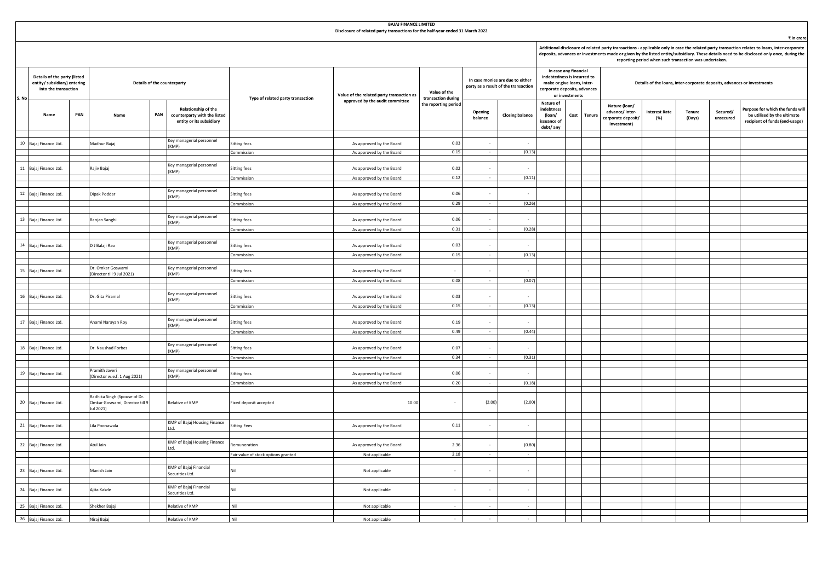|        | <b>BAJAJ FINANCE LIMITED</b><br>Disclosure of related party transactions for the half-year ended 31 March 2022 |     |                                                                             |     |                                                                                 |                                     |                                                      |                                    |                                                                          |                        |                                                                                                                                      |      |               |                                                                         |                                                        |                  |                       |                                                                                                                                                                                                                                                                                                          |  |
|--------|----------------------------------------------------------------------------------------------------------------|-----|-----------------------------------------------------------------------------|-----|---------------------------------------------------------------------------------|-------------------------------------|------------------------------------------------------|------------------------------------|--------------------------------------------------------------------------|------------------------|--------------------------------------------------------------------------------------------------------------------------------------|------|---------------|-------------------------------------------------------------------------|--------------------------------------------------------|------------------|-----------------------|----------------------------------------------------------------------------------------------------------------------------------------------------------------------------------------------------------------------------------------------------------------------------------------------------------|--|
|        |                                                                                                                |     |                                                                             |     |                                                                                 |                                     |                                                      |                                    |                                                                          |                        |                                                                                                                                      |      |               |                                                                         | reporting period when such transaction was undertaken. |                  |                       | ₹ in crore<br>Additional disclosure of related party transactions - applicable only in case the related party transaction relates to loans, inter-corporate<br>deposits, advances or investments made or given by the listed entity/subsidiary. These details need to be disclosed only once, during the |  |
| S. No  | Details of the party (listed<br>entity/ subsidiary) entering<br>into the transaction                           |     | Details of the counterparty                                                 |     |                                                                                 | Type of related party transaction   | Value of the related party transaction as            | Value of the<br>transaction during | In case monies are due to either<br>party as a result of the transaction |                        | In case any financial<br>indebtedness is incurred to<br>make or give loans, inter-<br>corporate deposits, advances<br>or investments |      |               | Details of the loans, inter-corporate deposits, advances or investments |                                                        |                  |                       |                                                                                                                                                                                                                                                                                                          |  |
|        | Name                                                                                                           | PAN | Name                                                                        | PAN | Relationship of the<br>counterparty with the listed<br>entity or its subsidiary |                                     | approved by the audit committee                      | the reporting period               | Opening<br>balance                                                       | <b>Closing balance</b> | Nature of<br>indebtness<br>(loan/<br>issuance o<br>debt/ any                                                                         | Cost | <b>Tenure</b> | Nature (loan/<br>advance/inter-<br>corporate deposit/<br>investment)    | <b>Interest Rate</b><br>(%)                            | Tenure<br>(Days) | Secured/<br>unsecured | Purpose for which the funds will<br>be utilised by the ultimate<br>recipient of funds (end-usage)                                                                                                                                                                                                        |  |
| $10\,$ | Bajaj Finance Ltd.                                                                                             |     | Aadhur Bajaj                                                                |     | Key managerial personnel                                                        | itting fees                         | As approved by the Board                             | 0.03                               |                                                                          |                        |                                                                                                                                      |      |               |                                                                         |                                                        |                  |                       |                                                                                                                                                                                                                                                                                                          |  |
|        |                                                                                                                |     |                                                                             |     | (KMP)                                                                           | ommission                           | As approved by the Board                             | 0.15                               |                                                                          | (0.13)                 |                                                                                                                                      |      |               |                                                                         |                                                        |                  |                       |                                                                                                                                                                                                                                                                                                          |  |
|        |                                                                                                                |     |                                                                             |     |                                                                                 |                                     |                                                      |                                    |                                                                          |                        |                                                                                                                                      |      |               |                                                                         |                                                        |                  |                       |                                                                                                                                                                                                                                                                                                          |  |
|        | 11 Bajaj Finance Ltd.                                                                                          |     | Rajiv Bajaj                                                                 |     | Key managerial personnel<br>(KMP)                                               | itting fees                         | As approved by the Board                             | 0.02                               |                                                                          | $\sim$                 |                                                                                                                                      |      |               |                                                                         |                                                        |                  |                       |                                                                                                                                                                                                                                                                                                          |  |
|        |                                                                                                                |     |                                                                             |     |                                                                                 | Commission                          | As approved by the Board                             | 0.12                               |                                                                          | (0.11)                 |                                                                                                                                      |      |               |                                                                         |                                                        |                  |                       |                                                                                                                                                                                                                                                                                                          |  |
|        | 12 Bajaj Finance Ltd.                                                                                          |     | lipak Poddar                                                                |     | Key managerial personnel                                                        | itting fees                         | As approved by the Board                             | 0.06                               |                                                                          |                        |                                                                                                                                      |      |               |                                                                         |                                                        |                  |                       |                                                                                                                                                                                                                                                                                                          |  |
|        |                                                                                                                |     |                                                                             |     | (KMP)                                                                           | ommission                           | As approved by the Board                             | 0.29                               |                                                                          | (0.26)                 |                                                                                                                                      |      |               |                                                                         |                                                        |                  |                       |                                                                                                                                                                                                                                                                                                          |  |
|        |                                                                                                                |     |                                                                             |     |                                                                                 |                                     |                                                      |                                    |                                                                          |                        |                                                                                                                                      |      |               |                                                                         |                                                        |                  |                       |                                                                                                                                                                                                                                                                                                          |  |
|        | 13 Bajaj Finance Ltd.                                                                                          |     | Ranjan Sanghi                                                               |     | Key managerial personnel<br>(KMP)                                               | itting fees                         | As approved by the Board                             | 0.06                               |                                                                          |                        |                                                                                                                                      |      |               |                                                                         |                                                        |                  |                       |                                                                                                                                                                                                                                                                                                          |  |
|        |                                                                                                                |     |                                                                             |     |                                                                                 | ommission                           | As approved by the Board                             | 0.31                               |                                                                          | (0.28)                 |                                                                                                                                      |      |               |                                                                         |                                                        |                  |                       |                                                                                                                                                                                                                                                                                                          |  |
|        | 14 Bajaj Finance Ltd.                                                                                          |     | D J Balaji Rao                                                              |     | Key managerial personnel<br>(KMP)                                               | itting fees                         | As approved by the Board                             | 0.03                               |                                                                          | $\sim$                 |                                                                                                                                      |      |               |                                                                         |                                                        |                  |                       |                                                                                                                                                                                                                                                                                                          |  |
|        |                                                                                                                |     |                                                                             |     |                                                                                 | Commission                          | As approved by the Board                             | 0.15                               |                                                                          | (0.13)                 |                                                                                                                                      |      |               |                                                                         |                                                        |                  |                       |                                                                                                                                                                                                                                                                                                          |  |
|        | 15 Bajaj Finance Ltd.                                                                                          |     | r. Omkar Goswami                                                            |     | Key managerial personnel                                                        | itting fees                         | As approved by the Board                             |                                    |                                                                          |                        |                                                                                                                                      |      |               |                                                                         |                                                        |                  |                       |                                                                                                                                                                                                                                                                                                          |  |
|        |                                                                                                                |     | Director till 9 Jul 2021)                                                   |     | (KMP)                                                                           | ommission                           | As approved by the Board                             | 0.08                               |                                                                          | (0.07)                 |                                                                                                                                      |      |               |                                                                         |                                                        |                  |                       |                                                                                                                                                                                                                                                                                                          |  |
|        |                                                                                                                |     |                                                                             |     |                                                                                 |                                     |                                                      |                                    |                                                                          |                        |                                                                                                                                      |      |               |                                                                         |                                                        |                  |                       |                                                                                                                                                                                                                                                                                                          |  |
|        | 16 Bajaj Finance Ltd.                                                                                          |     | Dr. Gita Piramal                                                            |     | Key managerial personnel<br>(KMP)                                               | Sitting fees                        | As approved by the Board                             | 0.03                               |                                                                          |                        |                                                                                                                                      |      |               |                                                                         |                                                        |                  |                       |                                                                                                                                                                                                                                                                                                          |  |
|        |                                                                                                                |     |                                                                             |     |                                                                                 | ommission                           | As approved by the Board                             | 0.15                               |                                                                          | (0.13)                 |                                                                                                                                      |      |               |                                                                         |                                                        |                  |                       |                                                                                                                                                                                                                                                                                                          |  |
|        | 17 Bajaj Finance Ltd.                                                                                          |     | Anami Narayan Roy                                                           |     | Key managerial personnel<br>(KMP)                                               | itting fees                         | As approved by the Board                             | 0.19                               |                                                                          | $\sim$                 |                                                                                                                                      |      |               |                                                                         |                                                        |                  |                       |                                                                                                                                                                                                                                                                                                          |  |
|        |                                                                                                                |     |                                                                             |     |                                                                                 | Commission                          | As approved by the Board                             | 0.49                               |                                                                          | (0.44)                 |                                                                                                                                      |      |               |                                                                         |                                                        |                  |                       |                                                                                                                                                                                                                                                                                                          |  |
|        |                                                                                                                |     |                                                                             |     | Key managerial personnel                                                        |                                     |                                                      |                                    |                                                                          |                        |                                                                                                                                      |      |               |                                                                         |                                                        |                  |                       |                                                                                                                                                                                                                                                                                                          |  |
|        | 18 Bajaj Finance Ltd.                                                                                          |     | r. Naushad Forbes                                                           |     | (KMP)                                                                           | itting fees<br>Commission           | As approved by the Board<br>As approved by the Board | 0.07<br>0.34                       | $\sim$                                                                   | $\sim$<br>(0.31)       |                                                                                                                                      |      |               |                                                                         |                                                        |                  |                       |                                                                                                                                                                                                                                                                                                          |  |
|        |                                                                                                                |     |                                                                             |     |                                                                                 |                                     |                                                      |                                    |                                                                          |                        |                                                                                                                                      |      |               |                                                                         |                                                        |                  |                       |                                                                                                                                                                                                                                                                                                          |  |
|        | 19 Bajaj Finance Ltd.                                                                                          |     | ramith Javeri<br>Director w.e.f. 1 Aug 2021)                                |     | Key managerial personnel<br>(KMP)                                               | itting fees                         | As approved by the Board                             | 0.06                               |                                                                          | $\sim$                 |                                                                                                                                      |      |               |                                                                         |                                                        |                  |                       |                                                                                                                                                                                                                                                                                                          |  |
|        |                                                                                                                |     |                                                                             |     |                                                                                 | ommission                           | As approved by the Board                             | 0.20                               |                                                                          | (0.18)                 |                                                                                                                                      |      |               |                                                                         |                                                        |                  |                       |                                                                                                                                                                                                                                                                                                          |  |
|        | 20 Bajaj Finance Ltd.                                                                                          |     | Radhika Singh (Spouse of Dr.<br>Omkar Goswami, Director till 9<br>lul 2021) |     | Relative of KMP                                                                 | ixed deposit accepted               | 10.00                                                |                                    | (2.00)                                                                   | (2.00)                 |                                                                                                                                      |      |               |                                                                         |                                                        |                  |                       |                                                                                                                                                                                                                                                                                                          |  |
|        | 21 Bajaj Finance Ltd.                                                                                          |     | ila Poonawala                                                               |     | KMP of Bajaj Housing Finance<br>hd                                              | Sitting Fees                        | As approved by the Board                             | 0.11                               |                                                                          | $\sim$                 |                                                                                                                                      |      |               |                                                                         |                                                        |                  |                       |                                                                                                                                                                                                                                                                                                          |  |
|        | 22 Bajaj Finance Ltd.                                                                                          |     | Atul Jain                                                                   |     | KMP of Bajaj Housing Finance                                                    | emuneration                         | As approved by the Board                             | 2.36                               |                                                                          | (0.80)                 |                                                                                                                                      |      |               |                                                                         |                                                        |                  |                       |                                                                                                                                                                                                                                                                                                          |  |
|        |                                                                                                                |     |                                                                             |     |                                                                                 | Fair value of stock options granted | Not applicable                                       | 2.18                               |                                                                          |                        |                                                                                                                                      |      |               |                                                                         |                                                        |                  |                       |                                                                                                                                                                                                                                                                                                          |  |
|        | 23 Bajaj Finance Ltd.                                                                                          |     | Manish Jain                                                                 |     | KMP of Bajaj Financial<br>Securities Ltd.                                       | Nil                                 | Not applicable                                       |                                    |                                                                          |                        |                                                                                                                                      |      |               |                                                                         |                                                        |                  |                       |                                                                                                                                                                                                                                                                                                          |  |
|        |                                                                                                                |     |                                                                             |     |                                                                                 |                                     |                                                      |                                    |                                                                          |                        |                                                                                                                                      |      |               |                                                                         |                                                        |                  |                       |                                                                                                                                                                                                                                                                                                          |  |
|        | 24 Bajaj Finance Ltd.                                                                                          |     | Ajita Kakde                                                                 |     | KMP of Bajaj Financial<br>Securities Ltd.                                       | Nil                                 | Not applicable                                       |                                    |                                                                          |                        |                                                                                                                                      |      |               |                                                                         |                                                        |                  |                       |                                                                                                                                                                                                                                                                                                          |  |
|        | 25 Bajaj Finance Ltd.                                                                                          |     | Shekher Bajaj                                                               |     | Relative of KMP                                                                 | Nil                                 | Not applicable                                       | $\sim$                             | $\sim$                                                                   | $\sim$                 |                                                                                                                                      |      |               |                                                                         |                                                        |                  |                       |                                                                                                                                                                                                                                                                                                          |  |
|        | 26 Bajaj Finance Ltd.                                                                                          |     | Niraj Bajaj                                                                 |     | Relative of KMP                                                                 | Nil                                 | Not applicable                                       |                                    |                                                                          |                        |                                                                                                                                      |      |               |                                                                         |                                                        |                  |                       |                                                                                                                                                                                                                                                                                                          |  |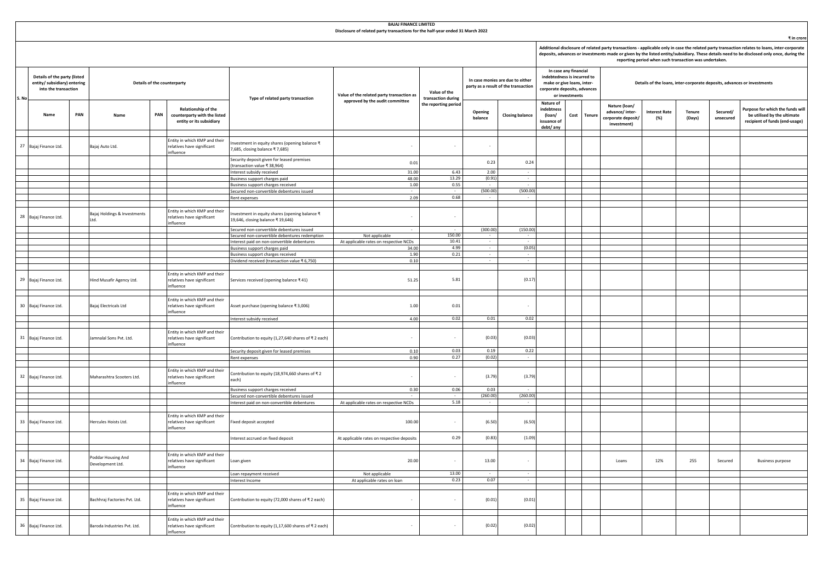|                                                                                      | <b>BAJAJ FINANCE LIMITED</b><br>Disclosure of related party transactions for the half-year ended 31 March 2022                                                                                                                                                                                                                                       |                             |                                        |     |                                                                                 |                                                                                              |                                                          |                      |                                                                          |                                                                                                                                      |                                                              |  |                                                                         |                                                                      |                             |                  |                       |                                                                                                   |  |
|--------------------------------------------------------------------------------------|------------------------------------------------------------------------------------------------------------------------------------------------------------------------------------------------------------------------------------------------------------------------------------------------------------------------------------------------------|-----------------------------|----------------------------------------|-----|---------------------------------------------------------------------------------|----------------------------------------------------------------------------------------------|----------------------------------------------------------|----------------------|--------------------------------------------------------------------------|--------------------------------------------------------------------------------------------------------------------------------------|--------------------------------------------------------------|--|-------------------------------------------------------------------------|----------------------------------------------------------------------|-----------------------------|------------------|-----------------------|---------------------------------------------------------------------------------------------------|--|
|                                                                                      | Additional disclosure of related party transactions - applicable only in case the related party transaction relates to loans, inter-corporate<br>deposits, advances or investments made or given by the listed entity/subsidiary. These details need to be disclosed only once, during the<br>reporting period when such transaction was undertaken. |                             |                                        |     |                                                                                 |                                                                                              |                                                          |                      |                                                                          |                                                                                                                                      |                                                              |  |                                                                         |                                                                      | ₹ in crore                  |                  |                       |                                                                                                   |  |
| Details of the party (listed<br>entity/ subsidiary) entering<br>into the transaction |                                                                                                                                                                                                                                                                                                                                                      | Details of the counterparty |                                        |     |                                                                                 | Value of the related party transaction as                                                    | Value of the<br>transaction during                       |                      | In case monies are due to either<br>party as a result of the transaction | In case any financial<br>indebtedness is incurred to<br>make or give loans, inter-<br>corporate deposits, advances<br>or investments |                                                              |  | Details of the loans, inter-corporate deposits, advances or investments |                                                                      |                             |                  |                       |                                                                                                   |  |
| S. No                                                                                | Name                                                                                                                                                                                                                                                                                                                                                 | PAN                         | Name                                   | PAN | Relationship of the<br>counterparty with the listed<br>entity or its subsidiary | Type of related party transaction                                                            | approved by the audit committee                          | the reporting period | Opening<br>balance                                                       | <b>Closing balance</b>                                                                                                               | Nature of<br>ndebtness<br>(loan/<br>issuance of<br>debt/ any |  | Cost Tenure                                                             | Nature (loan/<br>advance/inter-<br>corporate deposit/<br>investment) | <b>Interest Rate</b><br>(%) | Tenure<br>(Days) | Secured/<br>unsecured | Purpose for which the funds will<br>be utilised by the ultimate<br>recipient of funds (end-usage) |  |
|                                                                                      | 27 Bajaj Finance Ltd.                                                                                                                                                                                                                                                                                                                                |                             | Bajaj Auto Ltd.                        |     | Intity in which KMP and their<br>relatives have significant<br>influence        | nvestment in equity shares (opening balance ₹<br>7,685, closing balance ₹7,685)              |                                                          |                      |                                                                          |                                                                                                                                      |                                                              |  |                                                                         |                                                                      |                             |                  |                       |                                                                                                   |  |
|                                                                                      |                                                                                                                                                                                                                                                                                                                                                      |                             |                                        |     |                                                                                 | Security deposit given for leased premises<br>transaction value ₹ 38,964)                    | 0.01                                                     |                      | 0.23                                                                     | 0.24                                                                                                                                 |                                                              |  |                                                                         |                                                                      |                             |                  |                       |                                                                                                   |  |
|                                                                                      |                                                                                                                                                                                                                                                                                                                                                      |                             |                                        |     |                                                                                 | Interest subsidy received                                                                    | 31.00                                                    | 6.43                 | 2.00                                                                     | $\sim$                                                                                                                               |                                                              |  |                                                                         |                                                                      |                             |                  |                       |                                                                                                   |  |
|                                                                                      |                                                                                                                                                                                                                                                                                                                                                      |                             |                                        |     |                                                                                 | Business support charges paid                                                                | 48.00                                                    | 13.29                | (0.91)                                                                   | $\sim$                                                                                                                               |                                                              |  |                                                                         |                                                                      |                             |                  |                       |                                                                                                   |  |
|                                                                                      |                                                                                                                                                                                                                                                                                                                                                      |                             |                                        |     |                                                                                 | Business support charges received                                                            | 1.00                                                     | 0.55                 | $\sim$                                                                   | $\sim$<br>(500.00)                                                                                                                   |                                                              |  |                                                                         |                                                                      |                             |                  |                       |                                                                                                   |  |
|                                                                                      |                                                                                                                                                                                                                                                                                                                                                      |                             |                                        |     |                                                                                 | Secured non-convertible debentures issued<br>Rent expenses                                   | 2.09                                                     | 0.68                 | (500.00)                                                                 |                                                                                                                                      |                                                              |  |                                                                         |                                                                      |                             |                  |                       |                                                                                                   |  |
|                                                                                      |                                                                                                                                                                                                                                                                                                                                                      |                             |                                        |     |                                                                                 |                                                                                              |                                                          |                      |                                                                          |                                                                                                                                      |                                                              |  |                                                                         |                                                                      |                             |                  |                       |                                                                                                   |  |
|                                                                                      | 28 Bajaj Finance Ltd.                                                                                                                                                                                                                                                                                                                                |                             | Bajaj Holdings & Investments<br>Ltd.   |     | Entity in which KMP and their<br>relatives have significant<br>influence        | nvestment in equity shares (opening balance ₹<br>19,646, closing balance ₹ 19,646)           | $\sim$                                                   |                      |                                                                          |                                                                                                                                      |                                                              |  |                                                                         |                                                                      |                             |                  |                       |                                                                                                   |  |
|                                                                                      |                                                                                                                                                                                                                                                                                                                                                      |                             |                                        |     |                                                                                 | Secured non-convertible debentures issued                                                    |                                                          |                      | (300.00)                                                                 | (150.00)                                                                                                                             |                                                              |  |                                                                         |                                                                      |                             |                  |                       |                                                                                                   |  |
|                                                                                      |                                                                                                                                                                                                                                                                                                                                                      |                             |                                        |     |                                                                                 | Secured non-convertible debentures redemption<br>Interest paid on non-convertible debentures | Not applicable<br>At applicable rates on respective NCDs | 150.00<br>10.41      |                                                                          |                                                                                                                                      |                                                              |  |                                                                         |                                                                      |                             |                  |                       |                                                                                                   |  |
|                                                                                      |                                                                                                                                                                                                                                                                                                                                                      |                             |                                        |     |                                                                                 | Business support charges paid                                                                | 34.00                                                    | 4.99                 | $\sim$                                                                   | (0.05)                                                                                                                               |                                                              |  |                                                                         |                                                                      |                             |                  |                       |                                                                                                   |  |
|                                                                                      |                                                                                                                                                                                                                                                                                                                                                      |                             |                                        |     |                                                                                 | Business support charges received                                                            | 1.90                                                     | 0.21                 |                                                                          |                                                                                                                                      |                                                              |  |                                                                         |                                                                      |                             |                  |                       |                                                                                                   |  |
|                                                                                      |                                                                                                                                                                                                                                                                                                                                                      |                             |                                        |     |                                                                                 | Dividend received (transaction value ₹ 6,750)                                                | 0.10                                                     |                      | $\sim$                                                                   | $\sim$                                                                                                                               |                                                              |  |                                                                         |                                                                      |                             |                  |                       |                                                                                                   |  |
|                                                                                      |                                                                                                                                                                                                                                                                                                                                                      |                             |                                        |     | Entity in which KMP and their                                                   |                                                                                              |                                                          |                      |                                                                          |                                                                                                                                      |                                                              |  |                                                                         |                                                                      |                             |                  |                       |                                                                                                   |  |
|                                                                                      | 29 Bajaj Finance Ltd.                                                                                                                                                                                                                                                                                                                                |                             | Hind Musafir Agency Ltd.               |     | relatives have significant<br>ifluence                                          | Services received (opening balance ₹41)                                                      | 51.25                                                    | 5.81                 |                                                                          | (0.17)                                                                                                                               |                                                              |  |                                                                         |                                                                      |                             |                  |                       |                                                                                                   |  |
|                                                                                      | 30 Bajaj Finance Ltd.                                                                                                                                                                                                                                                                                                                                |                             | Bajaj Electricals Ltd                  |     | Entity in which KMP and their<br>relatives have significant<br>influence        | Asset purchase (opening balance ₹3,006)                                                      | 1.00                                                     | 0.01                 |                                                                          | $\sim$                                                                                                                               |                                                              |  |                                                                         |                                                                      |                             |                  |                       |                                                                                                   |  |
|                                                                                      |                                                                                                                                                                                                                                                                                                                                                      |                             |                                        |     |                                                                                 | Interest subsidy received                                                                    | 4.00                                                     | 0.02                 | 0.01                                                                     | 0.02                                                                                                                                 |                                                              |  |                                                                         |                                                                      |                             |                  |                       |                                                                                                   |  |
|                                                                                      |                                                                                                                                                                                                                                                                                                                                                      |                             |                                        |     |                                                                                 |                                                                                              |                                                          |                      |                                                                          |                                                                                                                                      |                                                              |  |                                                                         |                                                                      |                             |                  |                       |                                                                                                   |  |
|                                                                                      | 31 Bajaj Finance Ltd.                                                                                                                                                                                                                                                                                                                                |                             | Jamnalal Sons Pvt. Ltd.                |     | Entity in which KMP and their<br>relatives have significant<br>influence        | Contribution to equity (1,27,640 shares of ₹2 each)                                          |                                                          |                      | (0.03)                                                                   | (0.03)                                                                                                                               |                                                              |  |                                                                         |                                                                      |                             |                  |                       |                                                                                                   |  |
|                                                                                      |                                                                                                                                                                                                                                                                                                                                                      |                             |                                        |     |                                                                                 | Security deposit given for leased premises                                                   | 0.10<br>0.90                                             | 0.03<br>0.27         | 0.19<br>(0.02)                                                           | 0.22<br>$\sim$                                                                                                                       |                                                              |  |                                                                         |                                                                      |                             |                  |                       |                                                                                                   |  |
|                                                                                      |                                                                                                                                                                                                                                                                                                                                                      |                             |                                        |     |                                                                                 | Rent expenses                                                                                |                                                          |                      |                                                                          |                                                                                                                                      |                                                              |  |                                                                         |                                                                      |                             |                  |                       |                                                                                                   |  |
|                                                                                      | 32 Bajaj Finance Ltd.                                                                                                                                                                                                                                                                                                                                |                             | Maharashtra Scooters Ltd.              |     | Entity in which KMP and their<br>relatives have significant<br>ifluence         | Contribution to equity (18,974,660 shares of ₹ 2<br>each)                                    |                                                          |                      | (3.79)                                                                   | (3.79)                                                                                                                               |                                                              |  |                                                                         |                                                                      |                             |                  |                       |                                                                                                   |  |
|                                                                                      |                                                                                                                                                                                                                                                                                                                                                      |                             |                                        |     |                                                                                 | Business support charges received                                                            | 0.30                                                     | 0.06                 | 0.03                                                                     |                                                                                                                                      |                                                              |  |                                                                         |                                                                      |                             |                  |                       |                                                                                                   |  |
|                                                                                      |                                                                                                                                                                                                                                                                                                                                                      |                             |                                        |     |                                                                                 | Secured non-convertible debentures issued                                                    |                                                          | $\sim$               | (260.00)                                                                 | (260.00)                                                                                                                             |                                                              |  |                                                                         |                                                                      |                             |                  |                       |                                                                                                   |  |
|                                                                                      |                                                                                                                                                                                                                                                                                                                                                      |                             |                                        |     |                                                                                 | Interest paid on non-convertible debentures                                                  | At applicable rates on respective NCDs                   | 5.18                 |                                                                          |                                                                                                                                      |                                                              |  |                                                                         |                                                                      |                             |                  |                       |                                                                                                   |  |
|                                                                                      | 33 Bajaj Finance Ltd.                                                                                                                                                                                                                                                                                                                                |                             | Hercules Hoists Ltd.                   |     | Entity in which KMP and their<br>relatives have significant<br>influence        | Fixed deposit accepted                                                                       | 100.00                                                   |                      | (6.50)                                                                   | (6.50)                                                                                                                               |                                                              |  |                                                                         |                                                                      |                             |                  |                       |                                                                                                   |  |
|                                                                                      |                                                                                                                                                                                                                                                                                                                                                      |                             |                                        |     |                                                                                 | nterest accrued on fixed deposit                                                             | At applicable rates on respective deposits               | 0.29                 | (0.83)                                                                   | (1.09)                                                                                                                               |                                                              |  |                                                                         |                                                                      |                             |                  |                       |                                                                                                   |  |
|                                                                                      |                                                                                                                                                                                                                                                                                                                                                      |                             |                                        |     |                                                                                 |                                                                                              |                                                          |                      |                                                                          |                                                                                                                                      |                                                              |  |                                                                         |                                                                      |                             |                  |                       |                                                                                                   |  |
|                                                                                      | 34 Bajaj Finance Ltd.                                                                                                                                                                                                                                                                                                                                |                             | Poddar Housing And<br>Development Ltd. |     | Entity in which KMP and their<br>relatives have significant<br>influence        | Loan given                                                                                   | 20.00                                                    |                      | 13.00                                                                    | $\sim$                                                                                                                               |                                                              |  |                                                                         | Loans                                                                | 12%                         | 255              | Secured               | <b>Business purpose</b>                                                                           |  |
|                                                                                      |                                                                                                                                                                                                                                                                                                                                                      |                             |                                        |     |                                                                                 | Loan repayment received                                                                      | Not applicable                                           | 13.00<br>0.23        | 0.07                                                                     | $\sim$                                                                                                                               |                                                              |  |                                                                         |                                                                      |                             |                  |                       |                                                                                                   |  |
|                                                                                      |                                                                                                                                                                                                                                                                                                                                                      |                             |                                        |     |                                                                                 | Interest Income                                                                              | At applicable rates on loan                              |                      |                                                                          |                                                                                                                                      |                                                              |  |                                                                         |                                                                      |                             |                  |                       |                                                                                                   |  |
|                                                                                      | 35 Bajaj Finance Ltd.                                                                                                                                                                                                                                                                                                                                |                             | Bachhraj Factories Pvt. Ltd.           |     | Entity in which KMP and their<br>relatives have significant<br>influence        | Contribution to equity (72,000 shares of ₹2 each)                                            |                                                          |                      | (0.01)                                                                   | (0.01)                                                                                                                               |                                                              |  |                                                                         |                                                                      |                             |                  |                       |                                                                                                   |  |
|                                                                                      | 36 Bajaj Finance Ltd.                                                                                                                                                                                                                                                                                                                                |                             | Baroda Industries Pvt. Ltd.            |     | Entity in which KMP and their<br>relatives have significant<br>ifluence         | Contribution to equity (1,17,600 shares of ₹ 2 each)                                         |                                                          |                      | (0.02)                                                                   | (0.02)                                                                                                                               |                                                              |  |                                                                         |                                                                      |                             |                  |                       |                                                                                                   |  |